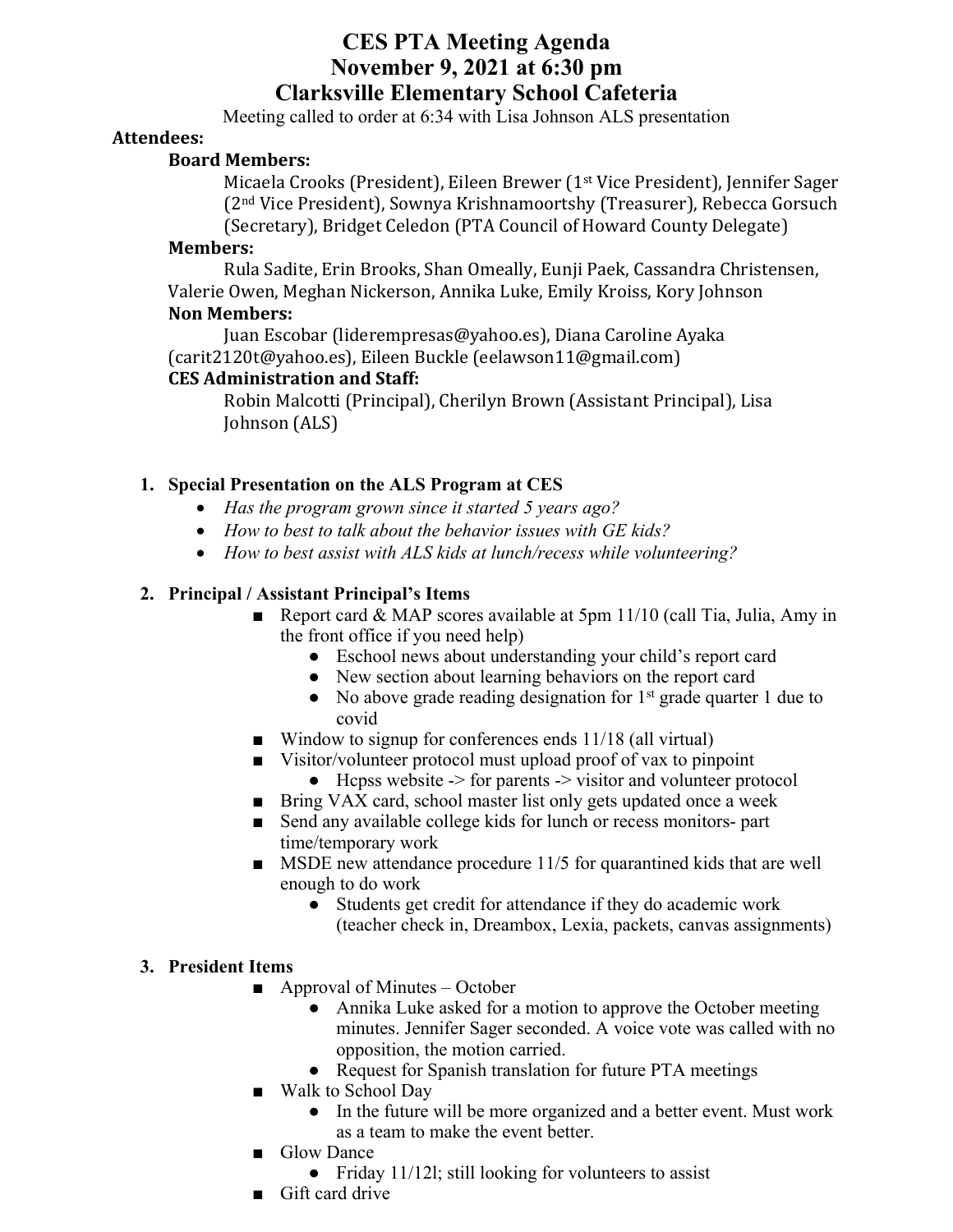# **CES PTA Meeting Agenda November 9, 2021 at 6:30 pm Clarksville Elementary School Cafeteria**

Meeting called to order at 6:34 with Lisa Johnson ALS presentation

#### **Attendees:**

#### **Board Members:**

Micaela Crooks (President), Eileen Brewer (1<sup>st</sup> Vice President), Jennifer Sager  $(2<sup>nd</sup> Vice President)$ , Sownya Krishnamoortshy (Treasurer), Rebecca Gorsuch (Secretary), Bridget Celedon (PTA Council of Howard County Delegate)

#### **Members:**

Rula Sadite, Erin Brooks, Shan Omeally, Eunji Paek, Cassandra Christensen, Valerie Owen, Meghan Nickerson, Annika Luke, Emily Kroiss, Kory Johnson **Non Members:** 

Juan Escobar (liderempresas@yahoo.es), Diana Caroline Ayaka (carit2120t@yahoo.es), Eileen Buckle (eelawson11@gmail.com)

## **CES Administration and Staff:**

Robin Malcotti (Principal), Cherilyn Brown (Assistant Principal), Lisa Johnson (ALS)

## **1. Special Presentation on the ALS Program at CES**

- *Has the program grown since it started 5 years ago?*
- *How to best to talk about the behavior issues with GE kids?*
- *How to best assist with ALS kids at lunch/recess while volunteering?*

## **2. Principal / Assistant Principal's Items**

- Report card & MAP scores available at 5pm 11/10 (call Tia, Julia, Amy in the front office if you need help)
	- Eschool news about understanding your child's report card
	- New section about learning behaviors on the report card
	- $\bullet$  No above grade reading designation for  $1<sup>st</sup>$  grade quarter 1 due to covid
- Window to signup for conferences ends 11/18 (all virtual)
- Visitor/volunteer protocol must upload proof of vax to pinpoint
	- $\bullet$  Hcpss website  $\geq$  for parents  $\geq$  visitor and volunteer protocol
- Bring VAX card, school master list only gets updated once a week
- Send any available college kids for lunch or recess monitors- part time/temporary work
- MSDE new attendance procedure 11/5 for quarantined kids that are well enough to do work
	- Students get credit for attendance if they do academic work (teacher check in, Dreambox, Lexia, packets, canvas assignments)

#### **3. President Items**

- $\blacksquare$  Approval of Minutes October
	- Annika Luke asked for a motion to approve the October meeting minutes. Jennifer Sager seconded. A voice vote was called with no opposition, the motion carried.
	- Request for Spanish translation for future PTA meetings
- Walk to School Day
	- In the future will be more organized and a better event. Must work as a team to make the event better.
- Glow Dance
	- Friday 11/121; still looking for volunteers to assist
- Gift card drive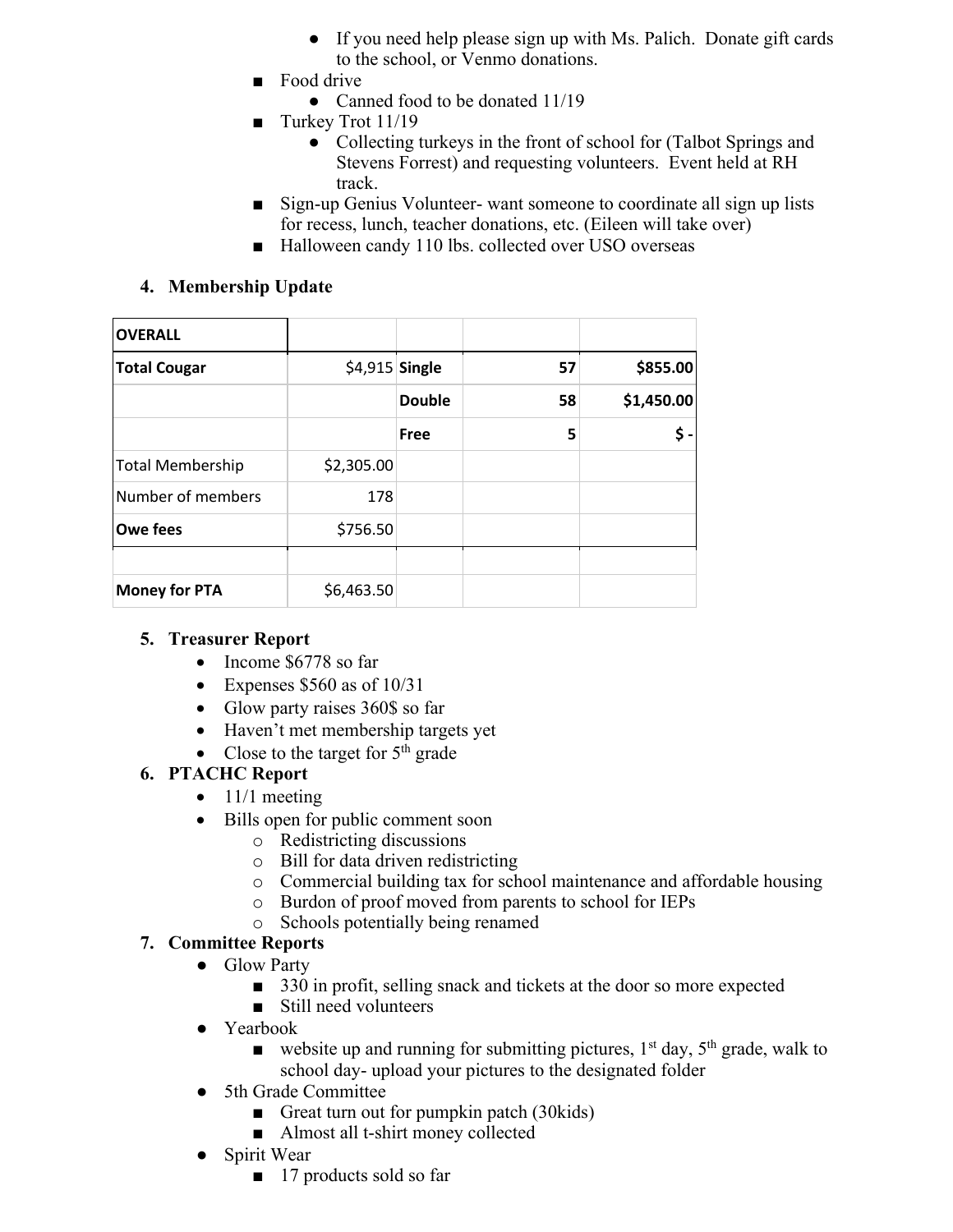- If you need help please sign up with Ms. Palich. Donate gift cards to the school, or Venmo donations.
- Food drive
	- Canned food to be donated 11/19
- Turkey Trot 11/19
	- Collecting turkeys in the front of school for (Talbot Springs and Stevens Forrest) and requesting volunteers. Event held at RH track.
- Sign-up Genius Volunteer- want someone to coordinate all sign up lists for recess, lunch, teacher donations, etc. (Eileen will take over)
- Halloween candy 110 lbs. collected over USO overseas

## **4. Membership Update**

| <b>OVERALL</b>       |                 |               |    |            |
|----------------------|-----------------|---------------|----|------------|
| <b>Total Cougar</b>  | $$4,915$ Single |               | 57 | \$855.00   |
|                      |                 | <b>Double</b> | 58 | \$1,450.00 |
|                      |                 | Free          | 5  | \$         |
| Total Membership     | \$2,305.00      |               |    |            |
| Number of members    | 178             |               |    |            |
| <b>Owe fees</b>      | \$756.50        |               |    |            |
|                      |                 |               |    |            |
| <b>Money for PTA</b> | \$6,463.50      |               |    |            |

#### **5. Treasurer Report**

- Income \$6778 so far
- Expenses  $$560$  as of  $10/31$
- Glow party raises 360\$ so far
- Haven't met membership targets yet
- Close to the target for  $5<sup>th</sup>$  grade

# **6. PTACHC Report**

- $\bullet$  11/1 meeting
- Bills open for public comment soon
	- o Redistricting discussions
	- o Bill for data driven redistricting
	- o Commercial building tax for school maintenance and affordable housing
	- o Burdon of proof moved from parents to school for IEPs
	- o Schools potentially being renamed

# **7. Committee Reports**

- Glow Party
	- 330 in profit, selling snack and tickets at the door so more expected
	- Still need volunteers
- Yearbook
	- website up and running for submitting pictures,  $1<sup>st</sup>$  day,  $5<sup>th</sup>$  grade, walk to school day- upload your pictures to the designated folder
- 5th Grade Committee
	- Great turn out for pumpkin patch (30kids)
	- Almost all t-shirt money collected
- Spirit Wear
	- 17 products sold so far